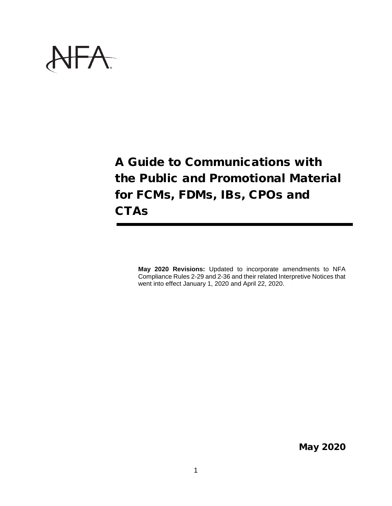

A Guide to Communications with the Public and Promotional Material for FCMs, FDMs, IBs, CPOs and **CTAs** 

**May 2020 Revisions:** Updated to incorporate amendments to NFA Compliance Rules 2-29 and 2-36 and their related Interpretive Notices that went into effect January 1, 2020 and April 22, 2020.

May 2020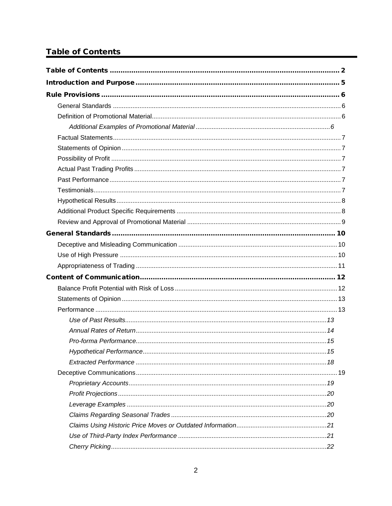# <span id="page-1-0"></span>**Table of Contents**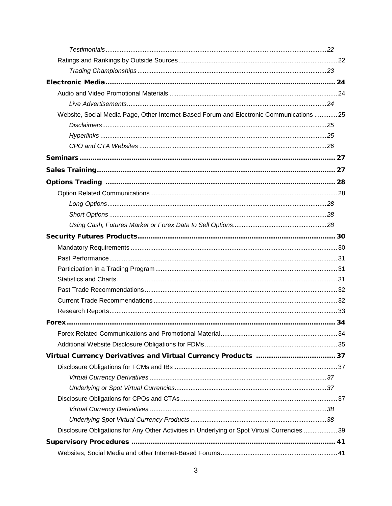| Website, Social Media Page, Other Internet-Based Forum and Electronic Communications 25     |  |
|---------------------------------------------------------------------------------------------|--|
|                                                                                             |  |
|                                                                                             |  |
|                                                                                             |  |
|                                                                                             |  |
|                                                                                             |  |
|                                                                                             |  |
|                                                                                             |  |
|                                                                                             |  |
|                                                                                             |  |
|                                                                                             |  |
|                                                                                             |  |
|                                                                                             |  |
|                                                                                             |  |
|                                                                                             |  |
|                                                                                             |  |
|                                                                                             |  |
|                                                                                             |  |
|                                                                                             |  |
|                                                                                             |  |
|                                                                                             |  |
|                                                                                             |  |
|                                                                                             |  |
|                                                                                             |  |
|                                                                                             |  |
|                                                                                             |  |
|                                                                                             |  |
|                                                                                             |  |
|                                                                                             |  |
| Disclosure Obligations for Any Other Activities in Underlying or Spot Virtual Currencies 39 |  |
|                                                                                             |  |
|                                                                                             |  |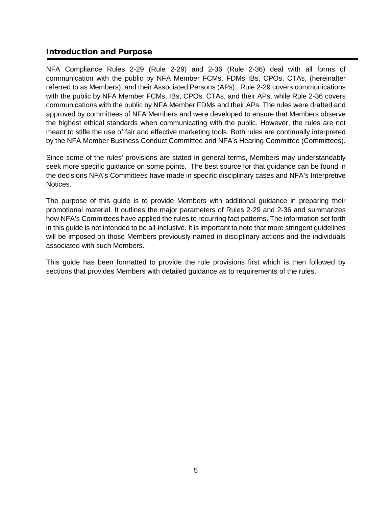# <span id="page-4-0"></span>Introduction and Purpose

NFA Compliance Rules 2-29 (Rule 2-29) and 2-36 (Rule 2-36) deal with all forms of communication with the public by NFA Member FCMs, FDMs IBs, CPOs, CTAs, (hereinafter referred to as Members), and their Associated Persons (APs). Rule 2-29 covers communications with the public by NFA Member FCMs, IBs, CPOs, CTAs, and their APs, while Rule 2-36 covers communications with the public by NFA Member FDMs and their APs. The rules were drafted and approved by committees of NFA Members and were developed to ensure that Members observe the highest ethical standards when communicating with the public. However, the rules are not meant to stifle the use of fair and effective marketing tools. Both rules are continually interpreted by the NFA Member Business Conduct Committee and NFA's Hearing Committee (Committees).

Since some of the rules' provisions are stated in general terms, Members may understandably seek more specific guidance on some points. The best source for that guidance can be found in the decisions NFA's Committees have made in specific disciplinary cases and NFA's Interpretive Notices.

The purpose of this guide is to provide Members with additional guidance in preparing their promotional material. It outlines the major parameters of Rules 2-29 and 2-36 and summarizes how NFA's Committees have applied the rules to recurring fact patterns. The information set forth in this guide is not intended to be all-inclusive. It is important to note that more stringent guidelines will be imposed on those Members previously named in disciplinary actions and the individuals associated with such Members.

This guide has been formatted to provide the rule provisions first which is then followed by sections that provides Members with detailed guidance as to requirements of the rules.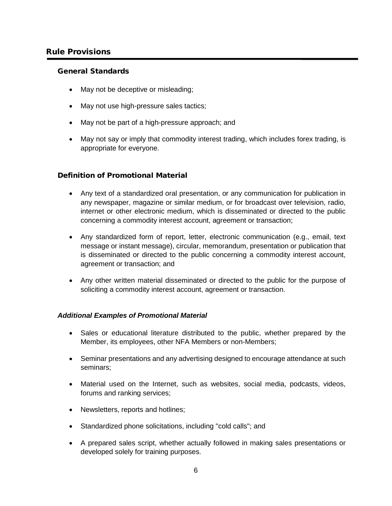# <span id="page-5-0"></span>Rule Provisions

#### <span id="page-5-1"></span>General Standards

- May not be deceptive or misleading;
- May not use high-pressure sales tactics;
- May not be part of a high-pressure approach; and
- May not say or imply that commodity interest trading, which includes forex trading, is appropriate for everyone.

## <span id="page-5-2"></span>Definition of Promotional Material

- Any text of a standardized oral presentation, or any communication for publication in any newspaper, magazine or similar medium, or for broadcast over television, radio, internet or other electronic medium, which is disseminated or directed to the public concerning a commodity interest account, agreement or transaction;
- Any standardized form of report, letter, electronic communication (e.g., email, text message or instant message), circular, memorandum, presentation or publication that is disseminated or directed to the public concerning a commodity interest account, agreement or transaction; and
- Any other written material disseminated or directed to the public for the purpose of soliciting a commodity interest account, agreement or transaction.

## <span id="page-5-3"></span>*Additional Examples of Promotional Material*

- Sales or educational literature distributed to the public, whether prepared by the Member, its employees, other NFA Members or non-Members;
- Seminar presentations and any advertising designed to encourage attendance at such seminars;
- Material used on the Internet, such as websites, social media, podcasts, videos, forums and ranking services;
- Newsletters, reports and hotlines;
- Standardized phone solicitations, including "cold calls"; and
- A prepared sales script, whether actually followed in making sales presentations or developed solely for training purposes.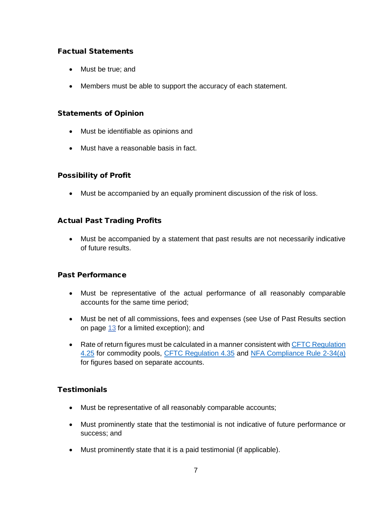# <span id="page-6-0"></span>Factual Statements

- Must be true; and
- Members must be able to support the accuracy of each statement.

## <span id="page-6-1"></span>Statements of Opinion

- Must be identifiable as opinions and
- Must have a reasonable basis in fact.

## <span id="page-6-2"></span>Possibility of Profit

• Must be accompanied by an equally prominent discussion of the risk of loss.

# <span id="page-6-3"></span>Actual Past Trading Profits

• Must be accompanied by a statement that past results are not necessarily indicative of future results.

## <span id="page-6-4"></span>Past Performance

- Must be representative of the actual performance of all reasonably comparable accounts for the same time period;
- Must be net of all commissions, fees and expenses (see Use of Past Results section on page [13](#page-12-2) for a limited exception); and
- Rate of return figures must be calculated in a manner consistent with CFTC Regulation [4.25](https://www.ecfr.gov/cgi-bin/text-idx?SID=2769bf01a54c1076b6652995d1533990&mc=true&node=se17.1.4_125&rgn=div8) for commodity pools, [CFTC Regulation 4.35](https://www.ecfr.gov/cgi-bin/text-idx?SID=100503b3f31cf7f73c7b768099fc68a1&mc=true&node=se17.1.4_135&rgn=div8) and [NFA Compliance Rule 2-34\(a\)](https://www.nfa.futures.org/rulebook/rules.aspx?Section=4&RuleID=RULE%202-34) for figures based on separate accounts.

## <span id="page-6-5"></span>Testimonials

- Must be representative of all reasonably comparable accounts;
- Must prominently state that the testimonial is not indicative of future performance or success; and
- Must prominently state that it is a paid testimonial (if applicable).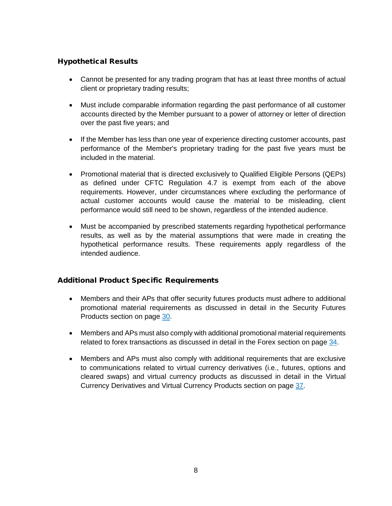# <span id="page-7-0"></span>Hypothetical Results

- Cannot be presented for any trading program that has at least three months of actual client or proprietary trading results;
- Must include comparable information regarding the past performance of all customer accounts directed by the Member pursuant to a power of attorney or letter of direction over the past five years; and
- If the Member has less than one year of experience directing customer accounts, past performance of the Member's proprietary trading for the past five years must be included in the material.
- Promotional material that is directed exclusively to Qualified Eligible Persons (QEPs) as defined under CFTC Regulation 4.7 is exempt from each of the above requirements. However, under circumstances where excluding the performance of actual customer accounts would cause the material to be misleading, client performance would still need to be shown, regardless of the intended audience.
- Must be accompanied by prescribed statements regarding hypothetical performance results, as well as by the material assumptions that were made in creating the hypothetical performance results. These requirements apply regardless of the intended audience.

# <span id="page-7-1"></span>Additional Product Specific Requirements

- Members and their APs that offer security futures products must adhere to additional promotional material requirements as discussed in detail in the Security Futures Products section on page [30.](#page-29-0)
- Members and APs must also comply with additional promotional material requirements related to forex transactions as discussed in detail in the Forex section on page [34.](#page-33-0)
- Members and APs must also comply with additional requirements that are exclusive to communications related to virtual currency derivatives (i.e., futures, options and cleared swaps) and virtual currency products as discussed in detail in the [Virtual](#page-36-0)  [Currency Derivatives and Virtual Currency Products](#page-36-0) section on page [37.](#page-36-0)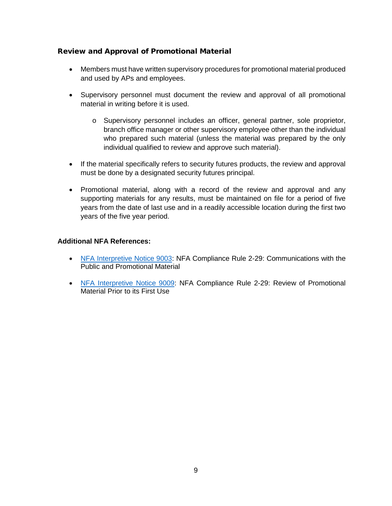# <span id="page-8-0"></span>Review and Approval of Promotional Material

- Members must have written supervisory procedures for promotional material produced and used by APs and employees.
- Supervisory personnel must document the review and approval of all promotional material in writing before it is used.
	- o Supervisory personnel includes an officer, general partner, sole proprietor, branch office manager or other supervisory employee other than the individual who prepared such material (unless the material was prepared by the only individual qualified to review and approve such material).
- If the material specifically refers to security futures products, the review and approval must be done by a designated security futures principal.
- Promotional material, along with a record of the review and approval and any supporting materials for any results, must be maintained on file for a period of five years from the date of last use and in a readily accessible location during the first two years of the five year period.

## **Additional NFA References:**

- [NFA Interpretive Notice 9003:](https://www.nfa.futures.org/rulebook/rules.aspx?Section=9&RuleID=9003) NFA Compliance Rule 2-29: Communications with the Public and Promotional Material
- [NFA Interpretive Notice 9009:](https://www.nfa.futures.org/rulebook/rules.aspx?Section=9&RuleID=9009) NFA Compliance Rule 2-29: Review of Promotional Material Prior to its First Use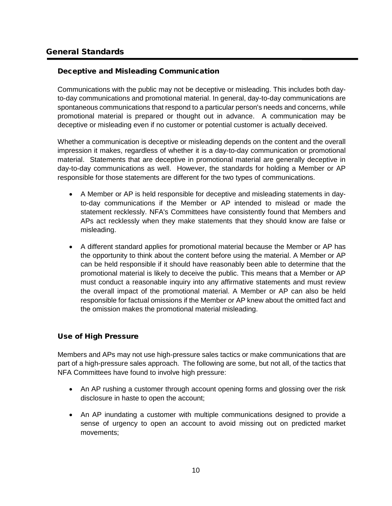## <span id="page-9-1"></span><span id="page-9-0"></span>Deceptive and Misleading Communication

Communications with the public may not be deceptive or misleading. This includes both dayto-day communications and promotional material. In general, day-to-day communications are spontaneous communications that respond to a particular person's needs and concerns, while promotional material is prepared or thought out in advance. A communication may be deceptive or misleading even if no customer or potential customer is actually deceived.

Whether a communication is deceptive or misleading depends on the content and the overall impression it makes, regardless of whether it is a day-to-day communication or promotional material. Statements that are deceptive in promotional material are generally deceptive in day-to-day communications as well. However, the standards for holding a Member or AP responsible for those statements are different for the two types of communications.

- A Member or AP is held responsible for deceptive and misleading statements in dayto-day communications if the Member or AP intended to mislead or made the statement recklessly. NFA's Committees have consistently found that Members and APs act recklessly when they make statements that they should know are false or misleading.
- A different standard applies for promotional material because the Member or AP has the opportunity to think about the content before using the material. A Member or AP can be held responsible if it should have reasonably been able to determine that the promotional material is likely to deceive the public. This means that a Member or AP must conduct a reasonable inquiry into any affirmative statements and must review the overall impact of the promotional material. A Member or AP can also be held responsible for factual omissions if the Member or AP knew about the omitted fact and the omission makes the promotional material misleading.

# <span id="page-9-2"></span>Use of High Pressure

Members and APs may not use high-pressure sales tactics or make communications that are part of a high-pressure sales approach. The following are some, but not all, of the tactics that NFA Committees have found to involve high pressure:

- An AP rushing a customer through account opening forms and glossing over the risk disclosure in haste to open the account;
- An AP inundating a customer with multiple communications designed to provide a sense of urgency to open an account to avoid missing out on predicted market movements;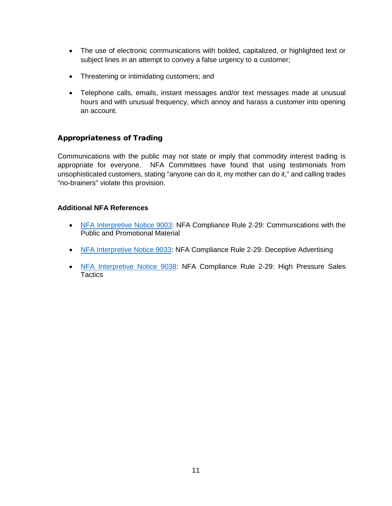- The use of electronic communications with bolded, capitalized, or highlighted text or subject lines in an attempt to convey a false urgency to a customer;
- Threatening or intimidating customers; and
- Telephone calls, emails, instant messages and/or text messages made at unusual hours and with unusual frequency, which annoy and harass a customer into opening an account.

## <span id="page-10-0"></span>Appropriateness of Trading

Communications with the public may not state or imply that commodity interest trading is appropriate for everyone. NFA Committees have found that using testimonials from unsophisticated customers, stating "anyone can do it, my mother can do it," and calling trades "no-brainers" violate this provision.

## **Additional NFA References**

- [NFA Interpretive Notice 9003:](https://www.nfa.futures.org/rulebook/rules.aspx?Section=9&RuleID=9003) NFA Compliance Rule 2-29: Communications with the Public and Promotional Material
- [NFA Interpretive Notice 9033:](https://www.nfa.futures.org/rulebook/rules.aspx?Section=9&RuleID=9033) NFA Compliance Rule 2-29: Deceptive Advertising
- [NFA Interpretive Notice 9038:](https://www.nfa.futures.org/rulebook/rules.aspx?Section=9&RuleID=9038) NFA Compliance Rule 2-29: High Pressure Sales **Tactics**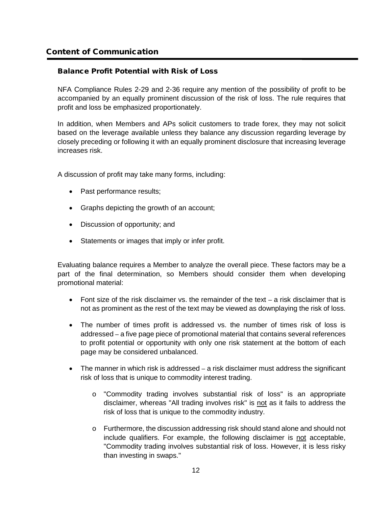## <span id="page-11-1"></span><span id="page-11-0"></span>Balance Profit Potential with Risk of Loss

NFA Compliance Rules 2-29 and 2-36 require any mention of the possibility of profit to be accompanied by an equally prominent discussion of the risk of loss. The rule requires that profit and loss be emphasized proportionately.

In addition, when Members and APs solicit customers to trade forex, they may not solicit based on the leverage available unless they balance any discussion regarding leverage by closely preceding or following it with an equally prominent disclosure that increasing leverage increases risk.

A discussion of profit may take many forms, including:

- Past performance results;
- Graphs depicting the growth of an account;
- Discussion of opportunity; and
- Statements or images that imply or infer profit.

Evaluating balance requires a Member to analyze the overall piece. These factors may be a part of the final determination, so Members should consider them when developing promotional material:

- Font size of the risk disclaimer vs. the remainder of the text  $-$  a risk disclaimer that is not as prominent as the rest of the text may be viewed as downplaying the risk of loss.
- The number of times profit is addressed vs. the number of times risk of loss is addressed – a five page piece of promotional material that contains several references to profit potential or opportunity with only one risk statement at the bottom of each page may be considered unbalanced.
- The manner in which risk is addressed a risk disclaimer must address the significant risk of loss that is unique to commodity interest trading.
	- o "Commodity trading involves substantial risk of loss" is an appropriate disclaimer, whereas "All trading involves risk" is not as it fails to address the risk of loss that is unique to the commodity industry.
	- o Furthermore, the discussion addressing risk should stand alone and should not include qualifiers. For example, the following disclaimer is not acceptable, "Commodity trading involves substantial risk of loss. However, it is less risky than investing in swaps."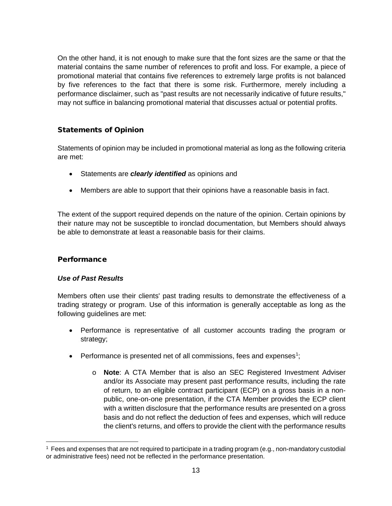On the other hand, it is not enough to make sure that the font sizes are the same or that the material contains the same number of references to profit and loss. For example, a piece of promotional material that contains five references to extremely large profits is not balanced by five references to the fact that there is some risk. Furthermore, merely including a performance disclaimer, such as "past results are not necessarily indicative of future results," may not suffice in balancing promotional material that discusses actual or potential profits.

# <span id="page-12-0"></span>Statements of Opinion

Statements of opinion may be included in promotional material as long as the following criteria are met:

- Statements are *clearly identified* as opinions and
- Members are able to support that their opinions have a reasonable basis in fact.

The extent of the support required depends on the nature of the opinion. Certain opinions by their nature may not be susceptible to ironclad documentation, but Members should always be able to demonstrate at least a reasonable basis for their claims.

# <span id="page-12-1"></span>**Performance**

## <span id="page-12-2"></span>*Use of Past Results*

Members often use their clients' past trading results to demonstrate the effectiveness of a trading strategy or program. Use of this information is generally acceptable as long as the following guidelines are met:

- Performance is representative of all customer accounts trading the program or strategy;
- Performance is presented net of all commissions, fees and expenses<sup>[1](#page-12-3)</sup>;
	- o **Note**: A CTA Member that is also an SEC Registered Investment Adviser and/or its Associate may present past performance results, including the rate of return, to an eligible contract participant (ECP) on a gross basis in a nonpublic, one-on-one presentation, if the CTA Member provides the ECP client with a written disclosure that the performance results are presented on a gross basis and do not reflect the deduction of fees and expenses, which will reduce the client's returns, and offers to provide the client with the performance results

<span id="page-12-3"></span> <sup>1</sup> Fees and expenses that are not required to participate in a trading program (e.g., non-mandatory custodial or administrative fees) need not be reflected in the performance presentation.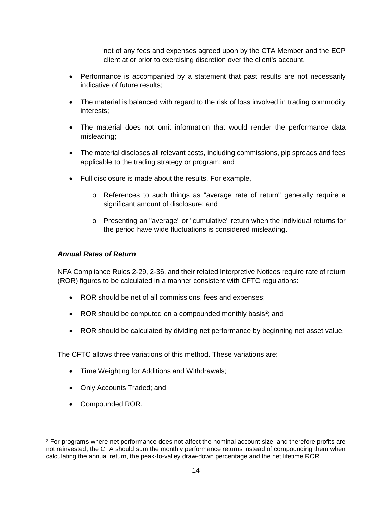net of any fees and expenses agreed upon by the CTA Member and the ECP client at or prior to exercising discretion over the client's account.

- Performance is accompanied by a statement that past results are not necessarily indicative of future results;
- The material is balanced with regard to the risk of loss involved in trading commodity interests;
- The material does not omit information that would render the performance data misleading;
- The material discloses all relevant costs, including commissions, pip spreads and fees applicable to the trading strategy or program; and
- Full disclosure is made about the results. For example,
	- o References to such things as "average rate of return" generally require a significant amount of disclosure; and
	- o Presenting an "average" or "cumulative" return when the individual returns for the period have wide fluctuations is considered misleading.

## <span id="page-13-0"></span>*Annual Rates of Return*

NFA Compliance Rules 2-29, 2-36, and their related Interpretive Notices require rate of return (ROR) figures to be calculated in a manner consistent with CFTC regulations:

- ROR should be net of all commissions, fees and expenses;
- ROR should be computed on a compounded monthly basis<sup>[2](#page-13-1)</sup>; and
- ROR should be calculated by dividing net performance by beginning net asset value.

The CFTC allows three variations of this method. These variations are:

- Time Weighting for Additions and Withdrawals;
- Only Accounts Traded; and
- Compounded ROR.

<span id="page-13-1"></span><sup>&</sup>lt;sup>2</sup> For programs where net performance does not affect the nominal account size, and therefore profits are not reinvested, the CTA should sum the monthly performance returns instead of compounding them when calculating the annual return, the peak-to-valley draw-down percentage and the net lifetime ROR.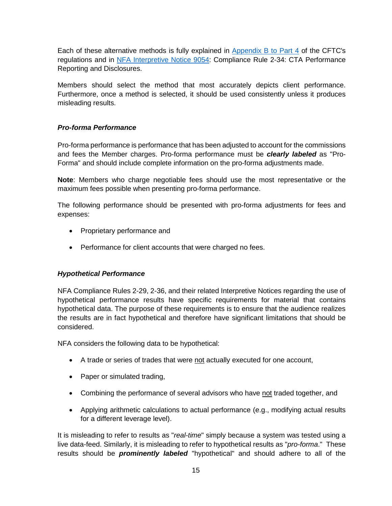Each of these alternative methods is fully explained in [Appendix B to Part](https://www.ecfr.gov/cgi-bin/text-idx?SID=a373f36c927f71565d95b04e5f6351c9&mc=true&node=ap17.1.4.0000_0nbspnbspnbsp.b&rgn=div9) 4 of the CFTC's regulations and in [NFA Interpretive Notice 9054:](https://www.nfa.futures.org/rulebook/rules.aspx?Section=9&RuleID=9054) Compliance Rule 2-34: CTA Performance Reporting and Disclosures.

Members should select the method that most accurately depicts client performance. Furthermore, once a method is selected, it should be used consistently unless it produces misleading results.

## <span id="page-14-0"></span>*Pro-forma Performance*

Pro-forma performance is performance that has been adjusted to account for the commissions and fees the Member charges. Pro-forma performance must be *clearly labeled* as "Pro-Forma" and should include complete information on the pro-forma adjustments made.

**Note**: Members who charge negotiable fees should use the most representative or the maximum fees possible when presenting pro-forma performance.

The following performance should be presented with pro-forma adjustments for fees and expenses:

- Proprietary performance and
- Performance for client accounts that were charged no fees.

## <span id="page-14-1"></span>*Hypothetical Performance*

NFA Compliance Rules 2-29, 2-36, and their related Interpretive Notices regarding the use of hypothetical performance results have specific requirements for material that contains hypothetical data. The purpose of these requirements is to ensure that the audience realizes the results are in fact hypothetical and therefore have significant limitations that should be considered.

NFA considers the following data to be hypothetical:

- A trade or series of trades that were not actually executed for one account,
- Paper or simulated trading,
- Combining the performance of several advisors who have not traded together, and
- Applying arithmetic calculations to actual performance (e.g., modifying actual results for a different leverage level).

It is misleading to refer to results as "*real-time*" simply because a system was tested using a live data-feed. Similarly, it is misleading to refer to hypothetical results as "*pro-forma*." These results should be *prominently labeled* "hypothetical" and should adhere to all of the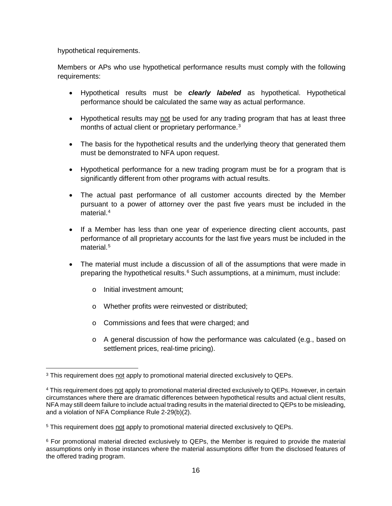hypothetical requirements.

Members or APs who use hypothetical performance results must comply with the following requirements:

- Hypothetical results must be *clearly labeled* as hypothetical. Hypothetical performance should be calculated the same way as actual performance.
- Hypothetical results may not be used for any trading program that has at least three months of actual client or proprietary performance.<sup>[3](#page-15-0)</sup>
- The basis for the hypothetical results and the underlying theory that generated them must be demonstrated to NFA upon request.
- Hypothetical performance for a new trading program must be for a program that is significantly different from other programs with actual results.
- The actual past performance of all customer accounts directed by the Member pursuant to a power of attorney over the past five years must be included in the material. [4](#page-15-1)
- If a Member has less than one year of experience directing client accounts, past performance of all proprietary accounts for the last five years must be included in the material. [5](#page-15-2)
- The material must include a discussion of all of the assumptions that were made in preparing the hypothetical results. [6](#page-15-3) Such assumptions, at a minimum, must include:
	- o Initial investment amount;
	- o Whether profits were reinvested or distributed;
	- o Commissions and fees that were charged; and
	- $\circ$  A general discussion of how the performance was calculated (e.g., based on settlement prices, real-time pricing).

<span id="page-15-0"></span><sup>&</sup>lt;sup>3</sup> This requirement does not apply to promotional material directed exclusively to QEPs.

<span id="page-15-1"></span><sup>4</sup> This requirement does not apply to promotional material directed exclusively to QEPs. However, in certain circumstances where there are dramatic differences between hypothetical results and actual client results, NFA may still deem failure to include actual trading results in the material directed to QEPs to be misleading, and a violation of NFA Compliance Rule 2-29(b)(2).

<span id="page-15-2"></span><sup>&</sup>lt;sup>5</sup> This requirement does not apply to promotional material directed exclusively to QEPs.

<span id="page-15-3"></span><sup>6</sup> For promotional material directed exclusively to QEPs, the Member is required to provide the material assumptions only in those instances where the material assumptions differ from the disclosed features of the offered trading program.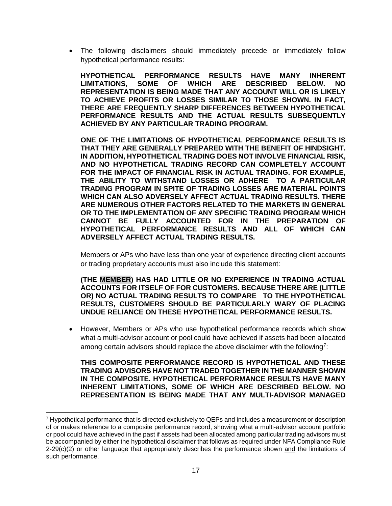• The following disclaimers should immediately precede or immediately follow hypothetical performance results:

**HYPOTHETICAL PERFORMANCE RESULTS HAVE MANY INHERENT LIMITATIONS, SOME OF WHICH ARE DESCRIBED BELOW. NO REPRESENTATION IS BEING MADE THAT ANY ACCOUNT WILL OR IS LIKELY TO ACHIEVE PROFITS OR LOSSES SIMILAR TO THOSE SHOWN. IN FACT, THERE ARE FREQUENTLY SHARP DIFFERENCES BETWEEN HYPOTHETICAL PERFORMANCE RESULTS AND THE ACTUAL RESULTS SUBSEQUENTLY ACHIEVED BY ANY PARTICULAR TRADING PROGRAM.**

**ONE OF THE LIMITATIONS OF HYPOTHETICAL PERFORMANCE RESULTS IS THAT THEY ARE GENERALLY PREPARED WITH THE BENEFIT OF HINDSIGHT. IN ADDITION, HYPOTHETICAL TRADING DOES NOT INVOLVE FINANCIAL RISK, AND NO HYPOTHETICAL TRADING RECORD CAN COMPLETELY ACCOUNT FOR THE IMPACT OF FINANCIAL RISK IN ACTUAL TRADING. FOR EXAMPLE, THE ABILITY TO WITHSTAND LOSSES OR ADHERE TO A PARTICULAR TRADING PROGRAM IN SPITE OF TRADING LOSSES ARE MATERIAL POINTS WHICH CAN ALSO ADVERSELY AFFECT ACTUAL TRADING RESULTS. THERE ARE NUMEROUS OTHER FACTORS RELATED TO THE MARKETS IN GENERAL OR TO THE IMPLEMENTATION OF ANY SPECIFIC TRADING PROGRAM WHICH CANNOT BE FULLY ACCOUNTED FOR IN THE PREPARATION OF HYPOTHETICAL PERFORMANCE RESULTS AND ALL OF WHICH CAN ADVERSELY AFFECT ACTUAL TRADING RESULTS.**

Members or APs who have less than one year of experience directing client accounts or trading proprietary accounts must also include this statement:

**(THE MEMBER) HAS HAD LITTLE OR NO EXPERIENCE IN TRADING ACTUAL ACCOUNTS FOR ITSELF OF FOR CUSTOMERS. BECAUSE THERE ARE (LITTLE OR) NO ACTUAL TRADING RESULTS TO COMPARE TO THE HYPOTHETICAL RESULTS, CUSTOMERS SHOULD BE PARTICULARLY WARY OF PLACING UNDUE RELIANCE ON THESE HYPOTHETICAL PERFORMANCE RESULTS.**

• However, Members or APs who use hypothetical performance records which show what a multi-advisor account or pool could have achieved if assets had been allocated among certain advisors should replace the above disclaimer with the following<sup>[7](#page-16-0)</sup>:

**THIS COMPOSITE PERFORMANCE RECORD IS HYPOTHETICAL AND THESE TRADING ADVISORS HAVE NOT TRADED TOGETHER IN THE MANNER SHOWN IN THE COMPOSITE. HYPOTHETICAL PERFORMANCE RESULTS HAVE MANY INHERENT LIMITATIONS, SOME OF WHICH ARE DESCRIBED BELOW. NO REPRESENTATION IS BEING MADE THAT ANY MULTI-ADVISOR MANAGED** 

<span id="page-16-0"></span> <sup>7</sup> Hypothetical performance that is directed exclusively to QEPs and includes a measurement or description of or makes reference to a composite performance record, showing what a multi-advisor account portfolio or pool could have achieved in the past if assets had been allocated among particular trading advisors must be accompanied by either the hypothetical disclaimer that follows as required under NFA Compliance Rule  $2-29(c)(2)$  or other language that appropriately describes the performance shown and the limitations of such performance.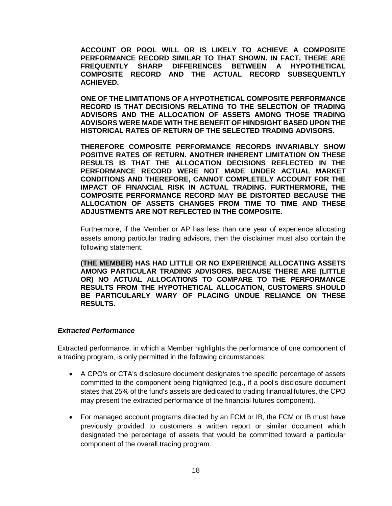**ACCOUNT OR POOL WILL OR IS LIKELY TO ACHIEVE A COMPOSITE PERFORMANCE RECORD SIMILAR TO THAT SHOWN. IN FACT, THERE ARE FREQUENTLY SHARP DIFFERENCES BETWEEN A HYPOTHETICAL COMPOSITE RECORD AND THE ACTUAL RECORD SUBSEQUENTLY ACHIEVED.**

**ONE OF THE LIMITATIONS OF A HYPOTHETICAL COMPOSITE PERFORMANCE RECORD IS THAT DECISIONS RELATING TO THE SELECTION OF TRADING ADVISORS AND THE ALLOCATION OF ASSETS AMONG THOSE TRADING ADVISORS WERE MADE WITH THE BENEFIT OF HINDSIGHT BASED UPON THE HISTORICAL RATES OF RETURN OF THE SELECTED TRADING ADVISORS.**

**THEREFORE COMPOSITE PERFORMANCE RECORDS INVARIABLY SHOW POSITIVE RATES OF RETURN. ANOTHER INHERENT LIMITATION ON THESE RESULTS IS THAT THE ALLOCATION DECISIONS REFLECTED IN THE PERFORMANCE RECORD WERE NOT MADE UNDER ACTUAL MARKET CONDITIONS AND THEREFORE, CANNOT COMPLETELY ACCOUNT FOR THE IMPACT OF FINANCIAL RISK IN ACTUAL TRADING. FURTHERMORE, THE COMPOSITE PERFORMANCE RECORD MAY BE DISTORTED BECAUSE THE ALLOCATION OF ASSETS CHANGES FROM TIME TO TIME AND THESE ADJUSTMENTS ARE NOT REFLECTED IN THE COMPOSITE.**

Furthermore, if the Member or AP has less than one year of experience allocating assets among particular trading advisors, then the disclaimer must also contain the following statement:

**(THE MEMBER) HAS HAD LITTLE OR NO EXPERIENCE ALLOCATING ASSETS AMONG PARTICULAR TRADING ADVISORS. BECAUSE THERE ARE (LITTLE OR) NO ACTUAL ALLOCATIONS TO COMPARE TO THE PERFORMANCE RESULTS FROM THE HYPOTHETICAL ALLOCATION, CUSTOMERS SHOULD BE PARTICULARLY WARY OF PLACING UNDUE RELIANCE ON THESE RESULTS.**

#### <span id="page-17-0"></span>*Extracted Performance*

Extracted performance, in which a Member highlights the performance of one component of a trading program, is only permitted in the following circumstances:

- A CPO's or CTA's disclosure document designates the specific percentage of assets committed to the component being highlighted (e.g., if a pool's disclosure document states that 25% of the fund's assets are dedicated to trading financial futures, the CPO may present the extracted performance of the financial futures component).
- For managed account programs directed by an FCM or IB, the FCM or IB must have previously provided to customers a written report or similar document which designated the percentage of assets that would be committed toward a particular component of the overall trading program.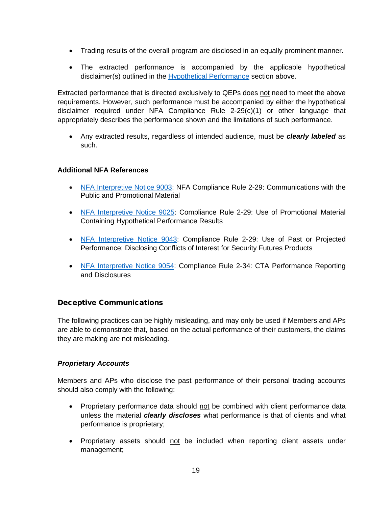- Trading results of the overall program are disclosed in an equally prominent manner.
- The extracted performance is accompanied by the applicable hypothetical disclaimer(s) outlined in the [Hypothetical Performance](#page-14-1) section above.

Extracted performance that is directed exclusively to QEPs does not need to meet the above requirements. However, such performance must be accompanied by either the hypothetical disclaimer required under NFA Compliance Rule 2-29(c)(1) or other language that appropriately describes the performance shown and the limitations of such performance.

• Any extracted results, regardless of intended audience, must be *clearly labeled* as such.

## **Additional NFA References**

- [NFA Interpretive Notice 9003:](https://www.nfa.futures.org/rulebook/rules.aspx?Section=9&RuleID=9003) NFA Compliance Rule 2-29: Communications with the Public and Promotional Material
- [NFA Interpretive Notice 9025:](https://www.nfa.futures.org/rulebook/rules.aspx?Section=9&RuleID=9025) Compliance Rule 2-29: Use of Promotional Material Containing Hypothetical Performance Results
- [NFA Interpretive Notice 9043:](https://www.nfa.futures.org/rulebook/rules.aspx?Section=9&RuleID=9043) Compliance Rule 2-29: Use of Past or Projected Performance; Disclosing Conflicts of Interest for Security Futures Products
- [NFA Interpretive Notice 9054:](https://www.nfa.futures.org/rulebook/rules.aspx?Section=9&RuleID=9054) Compliance Rule 2-34: CTA Performance Reporting and Disclosures

# <span id="page-18-0"></span>Deceptive Communications

The following practices can be highly misleading, and may only be used if Members and APs are able to demonstrate that, based on the actual performance of their customers, the claims they are making are not misleading.

## <span id="page-18-1"></span>*Proprietary Accounts*

Members and APs who disclose the past performance of their personal trading accounts should also comply with the following:

- Proprietary performance data should not be combined with client performance data unless the material *clearly discloses* what performance is that of clients and what performance is proprietary;
- Proprietary assets should not be included when reporting client assets under management;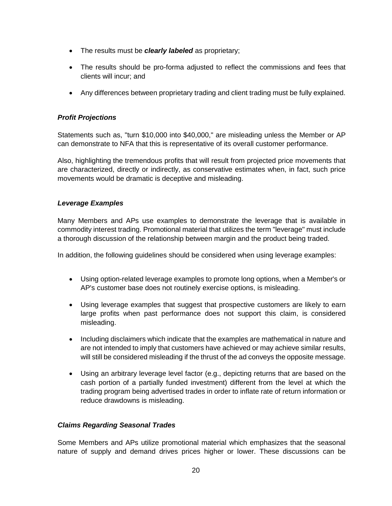- The results must be *clearly labeled* as proprietary;
- The results should be pro-forma adjusted to reflect the commissions and fees that clients will incur; and
- Any differences between proprietary trading and client trading must be fully explained.

## <span id="page-19-0"></span>*Profit Projections*

Statements such as, "turn \$10,000 into \$40,000," are misleading unless the Member or AP can demonstrate to NFA that this is representative of its overall customer performance.

Also, highlighting the tremendous profits that will result from projected price movements that are characterized, directly or indirectly, as conservative estimates when, in fact, such price movements would be dramatic is deceptive and misleading.

## <span id="page-19-1"></span>*Leverage Examples*

Many Members and APs use examples to demonstrate the leverage that is available in commodity interest trading. Promotional material that utilizes the term "leverage" must include a thorough discussion of the relationship between margin and the product being traded.

In addition, the following guidelines should be considered when using leverage examples:

- Using option-related leverage examples to promote long options, when a Member's or AP's customer base does not routinely exercise options, is misleading.
- Using leverage examples that suggest that prospective customers are likely to earn large profits when past performance does not support this claim, is considered misleading.
- Including disclaimers which indicate that the examples are mathematical in nature and are not intended to imply that customers have achieved or may achieve similar results, will still be considered misleading if the thrust of the ad conveys the opposite message.
- Using an arbitrary leverage level factor (e.g., depicting returns that are based on the cash portion of a partially funded investment) different from the level at which the trading program being advertised trades in order to inflate rate of return information or reduce drawdowns is misleading.

## <span id="page-19-2"></span>*Claims Regarding Seasonal Trades*

Some Members and APs utilize promotional material which emphasizes that the seasonal nature of supply and demand drives prices higher or lower. These discussions can be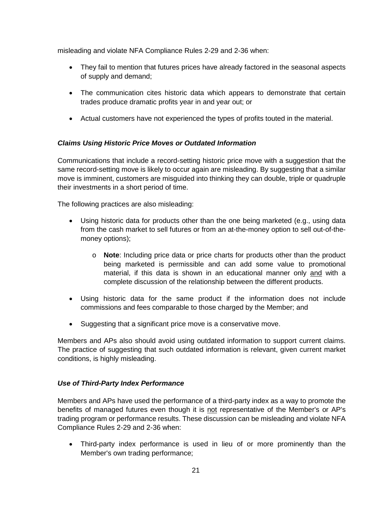misleading and violate NFA Compliance Rules 2-29 and 2-36 when:

- They fail to mention that futures prices have already factored in the seasonal aspects of supply and demand;
- The communication cites historic data which appears to demonstrate that certain trades produce dramatic profits year in and year out; or
- Actual customers have not experienced the types of profits touted in the material.

# <span id="page-20-0"></span>*Claims Using Historic Price Moves or Outdated Information*

Communications that include a record-setting historic price move with a suggestion that the same record-setting move is likely to occur again are misleading. By suggesting that a similar move is imminent, customers are misguided into thinking they can double, triple or quadruple their investments in a short period of time.

The following practices are also misleading:

- Using historic data for products other than the one being marketed (e.g., using data from the cash market to sell futures or from an at-the-money option to sell out-of-themoney options);
	- o **Note**: Including price data or price charts for products other than the product being marketed is permissible and can add some value to promotional material, if this data is shown in an educational manner only and with a complete discussion of the relationship between the different products.
- Using historic data for the same product if the information does not include commissions and fees comparable to those charged by the Member; and
- Suggesting that a significant price move is a conservative move.

Members and APs also should avoid using outdated information to support current claims. The practice of suggesting that such outdated information is relevant, given current market conditions, is highly misleading.

## <span id="page-20-1"></span>*Use of Third-Party Index Performance*

Members and APs have used the performance of a third-party index as a way to promote the benefits of managed futures even though it is not representative of the Member's or AP's trading program or performance results. These discussion can be misleading and violate NFA Compliance Rules 2-29 and 2-36 when:

• Third-party index performance is used in lieu of or more prominently than the Member's own trading performance;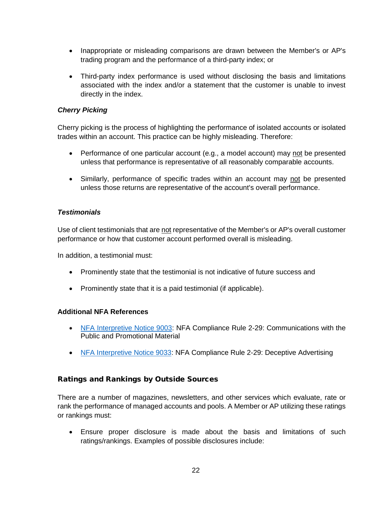- Inappropriate or misleading comparisons are drawn between the Member's or AP's trading program and the performance of a third-party index; or
- Third-party index performance is used without disclosing the basis and limitations associated with the index and/or a statement that the customer is unable to invest directly in the index.

## <span id="page-21-0"></span>*Cherry Picking*

Cherry picking is the process of highlighting the performance of isolated accounts or isolated trades within an account. This practice can be highly misleading. Therefore:

- Performance of one particular account (e.g., a model account) may not be presented unless that performance is representative of all reasonably comparable accounts.
- Similarly, performance of specific trades within an account may not be presented unless those returns are representative of the account's overall performance.

## <span id="page-21-1"></span>*Testimonials*

Use of client testimonials that are not representative of the Member's or AP's overall customer performance or how that customer account performed overall is misleading.

In addition, a testimonial must:

- Prominently state that the testimonial is not indicative of future success and
- Prominently state that it is a paid testimonial (if applicable).

## **Additional NFA References**

- [NFA Interpretive Notice 9003:](https://www.nfa.futures.org/rulebook/rules.aspx?Section=9&RuleID=9003) NFA Compliance Rule 2-29: Communications with the Public and Promotional Material
- [NFA Interpretive Notice 9033:](https://www.nfa.futures.org/rulebook/rules.aspx?Section=9&RuleID=9033) NFA Compliance Rule 2-29: Deceptive Advertising

## <span id="page-21-2"></span>Ratings and Rankings by Outside Sources

There are a number of magazines, newsletters, and other services which evaluate, rate or rank the performance of managed accounts and pools. A Member or AP utilizing these ratings or rankings must:

• Ensure proper disclosure is made about the basis and limitations of such ratings/rankings. Examples of possible disclosures include: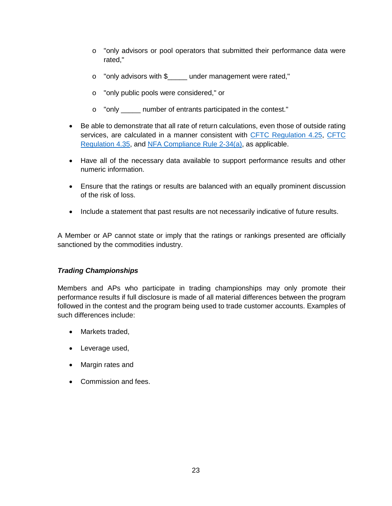- o "only advisors or pool operators that submitted their performance data were rated,"
- o "only advisors with \$\_\_\_\_\_ under management were rated,"
- o "only public pools were considered," or
- o "only \_\_\_\_\_ number of entrants participated in the contest."
- Be able to demonstrate that all rate of return calculations, even those of outside rating services, are calculated in a manner consistent with [CFTC Regulation 4.25,](https://www.ecfr.gov/cgi-bin/text-idx?SID=2769bf01a54c1076b6652995d1533990&mc=true&node=se17.1.4_125&rgn=div8) [CFTC](https://www.ecfr.gov/cgi-bin/text-idx?SID=100503b3f31cf7f73c7b768099fc68a1&mc=true&node=se17.1.4_135&rgn=div8)  [Regulation 4.35,](https://www.ecfr.gov/cgi-bin/text-idx?SID=100503b3f31cf7f73c7b768099fc68a1&mc=true&node=se17.1.4_135&rgn=div8) and [NFA Compliance Rule 2-34\(a\),](https://www.nfa.futures.org/rulebook/rules.aspx?Section=4&RuleID=RULE%202-34) as applicable.
- Have all of the necessary data available to support performance results and other numeric information.
- Ensure that the ratings or results are balanced with an equally prominent discussion of the risk of loss.
- Include a statement that past results are not necessarily indicative of future results.

A Member or AP cannot state or imply that the ratings or rankings presented are officially sanctioned by the commodities industry.

# <span id="page-22-0"></span>*Trading Championships*

Members and APs who participate in trading championships may only promote their performance results if full disclosure is made of all material differences between the program followed in the contest and the program being used to trade customer accounts. Examples of such differences include:

- Markets traded.
- Leverage used,
- Margin rates and
- Commission and fees.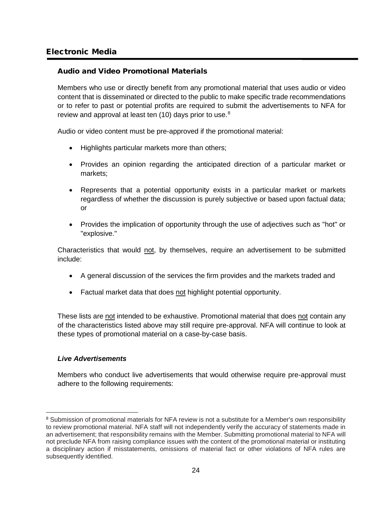# <span id="page-23-0"></span>Electronic Media

## <span id="page-23-1"></span>Audio and Video Promotional Materials

Members who use or directly benefit from any promotional material that uses audio or video content that is disseminated or directed to the public to make specific trade recommendations or to refer to past or potential profits are required to submit the advertisements to NFA for review and approval at least ten  $(10)$  days prior to use.<sup>[8](#page-23-3)</sup>

Audio or video content must be pre-approved if the promotional material:

- Highlights particular markets more than others;
- Provides an opinion regarding the anticipated direction of a particular market or markets;
- Represents that a potential opportunity exists in a particular market or markets regardless of whether the discussion is purely subjective or based upon factual data; or
- Provides the implication of opportunity through the use of adjectives such as "hot" or "explosive."

Characteristics that would not, by themselves, require an advertisement to be submitted include:

- A general discussion of the services the firm provides and the markets traded and
- Factual market data that does not highlight potential opportunity.

These lists are not intended to be exhaustive. Promotional material that does not contain any of the characteristics listed above may still require pre-approval. NFA will continue to look at these types of promotional material on a case-by-case basis.

## <span id="page-23-2"></span>*Live Advertisements*

Members who conduct live advertisements that would otherwise require pre-approval must adhere to the following requirements:

<span id="page-23-3"></span><sup>&</sup>lt;sup>8</sup> Submission of promotional materials for NFA review is not a substitute for a Member's own responsibility to review promotional material. NFA staff will not independently verify the accuracy of statements made in an advertisement; that responsibility remains with the Member. Submitting promotional material to NFA will not preclude NFA from raising compliance issues with the content of the promotional material or instituting a disciplinary action if misstatements, omissions of material fact or other violations of NFA rules are subsequently identified.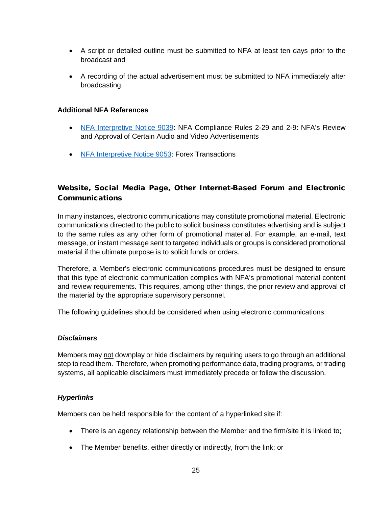- A script or detailed outline must be submitted to NFA at least ten days prior to the broadcast and
- A recording of the actual advertisement must be submitted to NFA immediately after broadcasting.

## **Additional NFA References**

- [NFA Interpretive Notice 9039:](https://www.nfa.futures.org/rulebook/rules.aspx?Section=9&RuleID=9039) NFA Compliance Rules 2-29 and 2-9: NFA's Review and Approval of Certain Audio and Video Advertisements
- [NFA Interpretive Notice 9053:](https://www.nfa.futures.org/rulebook/rules.aspx?Section=9&RuleID=9053) Forex Transactions

# <span id="page-24-0"></span>Website, Social Media Page, Other Internet-Based Forum and Electronic Communications

In many instances, electronic communications may constitute promotional material. Electronic communications directed to the public to solicit business constitutes advertising and is subject to the same rules as any other form of promotional material. For example, an e-mail, text message, or instant message sent to targeted individuals or groups is considered promotional material if the ultimate purpose is to solicit funds or orders.

Therefore, a Member's electronic communications procedures must be designed to ensure that this type of electronic communication complies with NFA's promotional material content and review requirements. This requires, among other things, the prior review and approval of the material by the appropriate supervisory personnel.

The following guidelines should be considered when using electronic communications:

## <span id="page-24-1"></span>*Disclaimers*

Members may not downplay or hide disclaimers by requiring users to go through an additional step to read them. Therefore, when promoting performance data, trading programs, or trading systems, all applicable disclaimers must immediately precede or follow the discussion.

## <span id="page-24-2"></span>*Hyperlinks*

Members can be held responsible for the content of a hyperlinked site if:

- There is an agency relationship between the Member and the firm/site it is linked to;
- The Member benefits, either directly or indirectly, from the link; or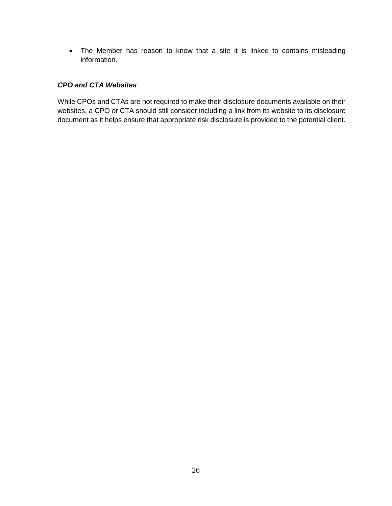• The Member has reason to know that a site it is linked to contains misleading information.

## <span id="page-25-0"></span>*CPO and CTA Websites*

While CPOs and CTAs are not required to make their disclosure documents available on their websites, a CPO or CTA should still consider including a link from its website to its disclosure document as it helps ensure that appropriate risk disclosure is provided to the potential client.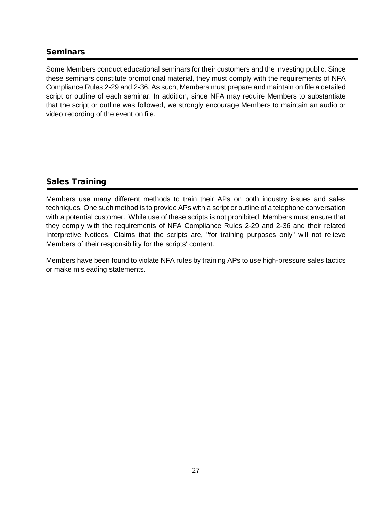# <span id="page-26-0"></span>**Seminars**

Some Members conduct educational seminars for their customers and the investing public. Since these seminars constitute promotional material, they must comply with the requirements of NFA Compliance Rules 2-29 and 2-36. As such, Members must prepare and maintain on file a detailed script or outline of each seminar. In addition, since NFA may require Members to substantiate that the script or outline was followed, we strongly encourage Members to maintain an audio or video recording of the event on file.

# <span id="page-26-1"></span>Sales Training

Members use many different methods to train their APs on both industry issues and sales techniques. One such method is to provide APs with a script or outline of a telephone conversation with a potential customer. While use of these scripts is not prohibited, Members must ensure that they comply with the requirements of NFA Compliance Rules 2-29 and 2-36 and their related Interpretive Notices. Claims that the scripts are, "for training purposes only" will not relieve Members of their responsibility for the scripts' content.

Members have been found to violate NFA rules by training APs to use high-pressure sales tactics or make misleading statements.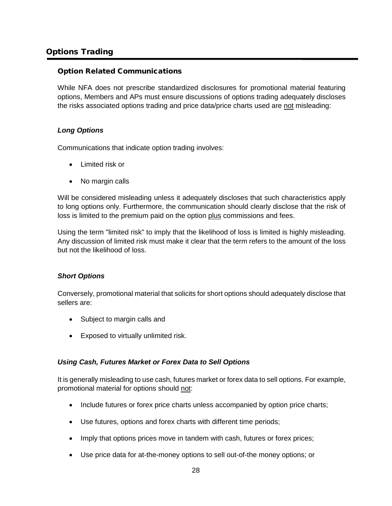# <span id="page-27-0"></span>Options Trading

## <span id="page-27-1"></span>Option Related Communications

While NFA does not prescribe standardized disclosures for promotional material featuring options, Members and APs must ensure discussions of options trading adequately discloses the risks associated options trading and price data/price charts used are not misleading:

## <span id="page-27-2"></span>*Long Options*

Communications that indicate option trading involves:

- Limited risk or
- No margin calls

Will be considered misleading unless it adequately discloses that such characteristics apply to long options only. Furthermore, the communication should clearly disclose that the risk of loss is limited to the premium paid on the option plus commissions and fees.

Using the term "limited risk" to imply that the likelihood of loss is limited is highly misleading. Any discussion of limited risk must make it clear that the term refers to the amount of the loss but not the likelihood of loss.

## <span id="page-27-3"></span>*Short Options*

Conversely, promotional material that solicits for short options should adequately disclose that sellers are:

- Subject to margin calls and
- Exposed to virtually unlimited risk.

## <span id="page-27-4"></span>*Using Cash, Futures Market or Forex Data to Sell Options*

It is generally misleading to use cash, futures market or forex data to sell options. For example, promotional material for options should not:

- Include futures or forex price charts unless accompanied by option price charts;
- Use futures, options and forex charts with different time periods;
- Imply that options prices move in tandem with cash, futures or forex prices;
- Use price data for at-the-money options to sell out-of-the money options; or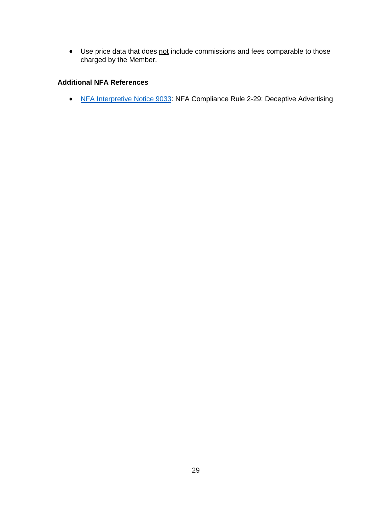• Use price data that does not include commissions and fees comparable to those charged by the Member.

## **Additional NFA References**

• [NFA Interpretive Notice 9033:](https://www.nfa.futures.org/rulebook/rules.aspx?Section=9&RuleID=9033) NFA Compliance Rule 2-29: Deceptive Advertising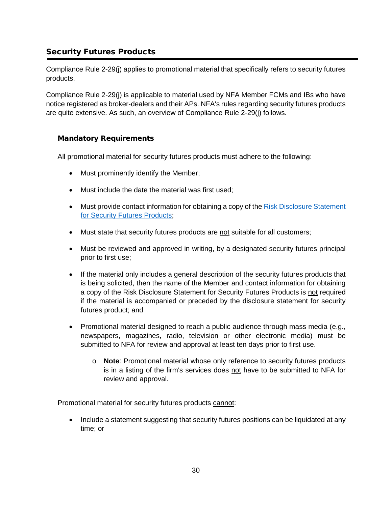# <span id="page-29-0"></span>Security Futures Products

Compliance Rule 2-29(j) applies to promotional material that specifically refers to security futures products.

Compliance Rule 2-29(j) is applicable to material used by NFA Member FCMs and IBs who have notice registered as broker-dealers and their APs. NFA's rules regarding security futures products are quite extensive. As such, an overview of Compliance Rule 2-29(j) follows.

## <span id="page-29-1"></span>Mandatory Requirements

All promotional material for security futures products must adhere to the following:

- Must prominently identify the Member;
- Must include the date the material was first used;
- Must provide contact information for obtaining a copy of the Risk Disclosure Statement [for Security Futures Products;](https://www.nfa.futures.org/members/member-resources/files/security-futures-disclosure.pdf)
- Must state that security futures products are not suitable for all customers;
- Must be reviewed and approved in writing, by a designated security futures principal prior to first use;
- If the material only includes a general description of the security futures products that is being solicited, then the name of the Member and contact information for obtaining a copy of the Risk Disclosure Statement for Security Futures Products is not required if the material is accompanied or preceded by the disclosure statement for security futures product; and
- Promotional material designed to reach a public audience through mass media (e.g., newspapers, magazines, radio, television or other electronic media) must be submitted to NFA for review and approval at least ten days prior to first use.
	- o **Note**: Promotional material whose only reference to security futures products is in a listing of the firm's services does not have to be submitted to NFA for review and approval.

Promotional material for security futures products cannot:

• Include a statement suggesting that security futures positions can be liquidated at any time; or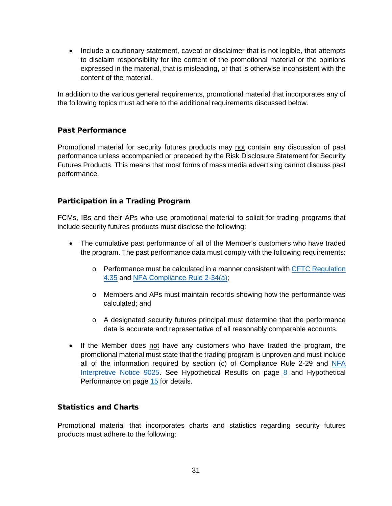• Include a cautionary statement, caveat or disclaimer that is not legible, that attempts to disclaim responsibility for the content of the promotional material or the opinions expressed in the material, that is misleading, or that is otherwise inconsistent with the content of the material.

In addition to the various general requirements, promotional material that incorporates any of the following topics must adhere to the additional requirements discussed below.

# <span id="page-30-0"></span>Past Performance

Promotional material for security futures products may not contain any discussion of past performance unless accompanied or preceded by the Risk Disclosure Statement for Security Futures Products. This means that most forms of mass media advertising cannot discuss past performance.

## <span id="page-30-1"></span>Participation in a Trading Program

FCMs, IBs and their APs who use promotional material to solicit for trading programs that include security futures products must disclose the following:

- The cumulative past performance of all of the Member's customers who have traded the program. The past performance data must comply with the following requirements:
	- o Performance must be calculated in a manner consistent with [CFTC Regulation](https://www.ecfr.gov/cgi-bin/text-idx?SID=100503b3f31cf7f73c7b768099fc68a1&mc=true&node=se17.1.4_135&rgn=div8)  [4.35](https://www.ecfr.gov/cgi-bin/text-idx?SID=100503b3f31cf7f73c7b768099fc68a1&mc=true&node=se17.1.4_135&rgn=div8) and [NFA Compliance Rule 2-34\(a\);](https://www.nfa.futures.org/rulebook/rules.aspx?Section=4&RuleID=RULE%202-34)
	- o Members and APs must maintain records showing how the performance was calculated; and
	- o A designated security futures principal must determine that the performance data is accurate and representative of all reasonably comparable accounts.
- If the Member does not have any customers who have traded the program, the promotional material must state that the trading program is unproven and must include all of the information required by section (c) of Compliance Rule 2-29 and [NFA](https://www.nfa.futures.org/rulebook/rules.aspx?Section=9&RuleID=9025)  [Interpretive Notice 9025.](https://www.nfa.futures.org/rulebook/rules.aspx?Section=9&RuleID=9025) See Hypothetical Results on page [8](#page-7-0) and [Hypothetical](#page-14-1)  [Performance](#page-14-1) on page [15](#page-14-1) for details.

## <span id="page-30-2"></span>Statistics and Charts

Promotional material that incorporates charts and statistics regarding security futures products must adhere to the following: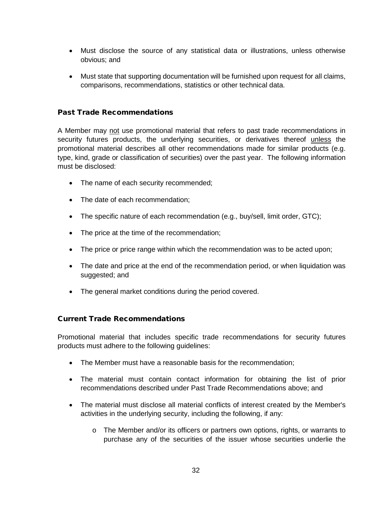- Must disclose the source of any statistical data or illustrations, unless otherwise obvious; and
- Must state that supporting documentation will be furnished upon request for all claims, comparisons, recommendations, statistics or other technical data.

## <span id="page-31-0"></span>Past Trade Recommendations

A Member may not use promotional material that refers to past trade recommendations in security futures products, the underlying securities, or derivatives thereof unless the promotional material describes all other recommendations made for similar products (e.g. type, kind, grade or classification of securities) over the past year. The following information must be disclosed:

- The name of each security recommended;
- The date of each recommendation;
- The specific nature of each recommendation (e.g., buy/sell, limit order, GTC);
- The price at the time of the recommendation:
- The price or price range within which the recommendation was to be acted upon;
- The date and price at the end of the recommendation period, or when liquidation was suggested; and
- The general market conditions during the period covered.

## <span id="page-31-1"></span>Current Trade Recommendations

Promotional material that includes specific trade recommendations for security futures products must adhere to the following guidelines:

- The Member must have a reasonable basis for the recommendation;
- The material must contain contact information for obtaining the list of prior recommendations described under Past Trade Recommendations above; and
- The material must disclose all material conflicts of interest created by the Member's activities in the underlying security, including the following, if any:
	- $\circ$  The Member and/or its officers or partners own options, rights, or warrants to purchase any of the securities of the issuer whose securities underlie the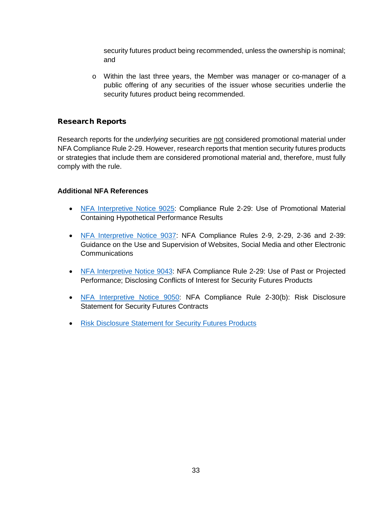security futures product being recommended, unless the ownership is nominal; and

o Within the last three years, the Member was manager or co-manager of a public offering of any securities of the issuer whose securities underlie the security futures product being recommended.

## <span id="page-32-0"></span>Research Reports

Research reports for the *underlying* securities are not considered promotional material under NFA Compliance Rule 2-29. However, research reports that mention security futures products or strategies that include them are considered promotional material and, therefore, must fully comply with the rule.

#### **Additional NFA References**

- [NFA Interpretive Notice 9025:](https://www.nfa.futures.org/rulebook/rules.aspx?Section=9&RuleID=9025) Compliance Rule 2-29: Use of Promotional Material Containing Hypothetical Performance Results
- [NFA Interpretive Notice 9037:](https://www.nfa.futures.org/rulebook/rules.aspx?Section=9&RuleID=9037) NFA Compliance Rules 2-9, 2-29, 2-36 and 2-39: Guidance on the Use and Supervision of Websites, Social Media and other Electronic Communications
- [NFA Interpretive Notice 9043:](https://www.nfa.futures.org/rulebook/rules.aspx?Section=9&RuleID=9043) NFA Compliance Rule 2-29: Use of Past or Projected Performance; Disclosing Conflicts of Interest for Security Futures Products
- [NFA Interpretive Notice 9050:](https://www.nfa.futures.org/rulebook/rules.aspx?Section=9&RuleID=9050) NFA Compliance Rule 2-30(b): Risk Disclosure Statement for Security Futures Contracts
- [Risk Disclosure Statement for Security Futures Products](https://www.nfa.futures.org/members/member-resources/files/security-futures-disclosure.pdf)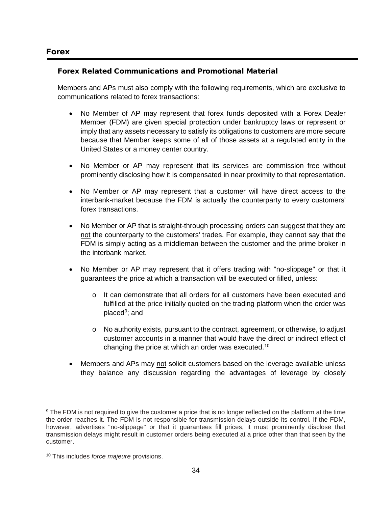## <span id="page-33-1"></span><span id="page-33-0"></span>Forex Related Communications and Promotional Material

Members and APs must also comply with the following requirements, which are exclusive to communications related to forex transactions:

- No Member of AP may represent that forex funds deposited with a Forex Dealer Member (FDM) are given special protection under bankruptcy laws or represent or imply that any assets necessary to satisfy its obligations to customers are more secure because that Member keeps some of all of those assets at a regulated entity in the United States or a money center country.
- No Member or AP may represent that its services are commission free without prominently disclosing how it is compensated in near proximity to that representation.
- No Member or AP may represent that a customer will have direct access to the interbank-market because the FDM is actually the counterparty to every customers' forex transactions.
- No Member or AP that is straight-through processing orders can suggest that they are not the counterparty to the customers' trades. For example, they cannot say that the FDM is simply acting as a middleman between the customer and the prime broker in the interbank market.
- No Member or AP may represent that it offers trading with "no-slippage" or that it guarantees the price at which a transaction will be executed or filled, unless:
	- o It can demonstrate that all orders for all customers have been executed and fulfilled at the price initially quoted on the trading platform when the order was placed<sup>[9](#page-33-2)</sup>; and
	- $\circ$  No authority exists, pursuant to the contract, agreement, or otherwise, to adjust customer accounts in a manner that would have the direct or indirect effect of changing the price at which an order was executed.[10](#page-33-3)
- Members and APs may not solicit customers based on the leverage available unless they balance any discussion regarding the advantages of leverage by closely

<span id="page-33-2"></span><sup>&</sup>lt;sup>9</sup> The FDM is not required to give the customer a price that is no longer reflected on the platform at the time the order reaches it. The FDM is not responsible for transmission delays outside its control. If the FDM, however, advertises "no-slippage" or that it guarantees fill prices, it must prominently disclose that transmission delays might result in customer orders being executed at a price other than that seen by the customer.

<span id="page-33-3"></span><sup>10</sup> This includes *force majeure* provisions.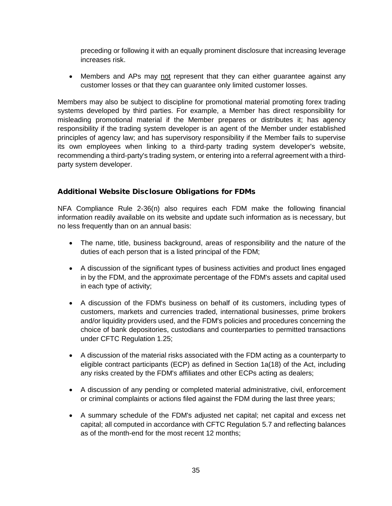preceding or following it with an equally prominent disclosure that increasing leverage increases risk.

• Members and APs may not represent that they can either guarantee against any customer losses or that they can guarantee only limited customer losses.

Members may also be subject to discipline for promotional material promoting forex trading systems developed by third parties. For example, a Member has direct responsibility for misleading promotional material if the Member prepares or distributes it; has agency responsibility if the trading system developer is an agent of the Member under established principles of agency law; and has supervisory responsibility if the Member fails to supervise its own employees when linking to a third-party trading system developer's website, recommending a third-party's trading system, or entering into a referral agreement with a thirdparty system developer.

## <span id="page-34-0"></span>Additional Website Disclosure Obligations for FDMs

NFA Compliance Rule 2-36(n) also requires each FDM make the following financial information readily available on its website and update such information as is necessary, but no less frequently than on an annual basis:

- The name, title, business background, areas of responsibility and the nature of the duties of each person that is a listed principal of the FDM;
- A discussion of the significant types of business activities and product lines engaged in by the FDM, and the approximate percentage of the FDM's assets and capital used in each type of activity;
- A discussion of the FDM's business on behalf of its customers, including types of customers, markets and currencies traded, international businesses, prime brokers and/or liquidity providers used, and the FDM's policies and procedures concerning the choice of bank depositories, custodians and counterparties to permitted transactions under CFTC Regulation 1.25;
- A discussion of the material risks associated with the FDM acting as a counterparty to eligible contract participants (ECP) as defined in Section 1a(18) of the Act, including any risks created by the FDM's affiliates and other ECPs acting as dealers;
- A discussion of any pending or completed material administrative, civil, enforcement or criminal complaints or actions filed against the FDM during the last three years;
- A summary schedule of the FDM's adjusted net capital; net capital and excess net capital; all computed in accordance with CFTC Regulation 5.7 and reflecting balances as of the month-end for the most recent 12 months;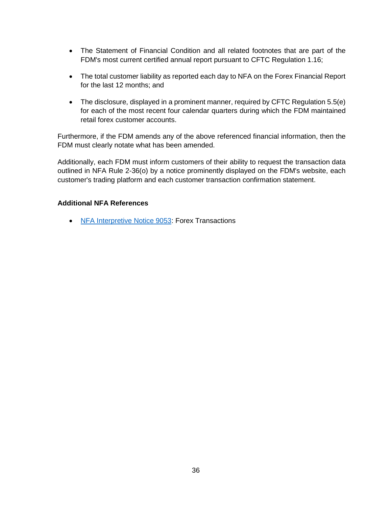- The Statement of Financial Condition and all related footnotes that are part of the FDM's most current certified annual report pursuant to CFTC Regulation 1.16;
- The total customer liability as reported each day to NFA on the Forex Financial Report for the last 12 months; and
- The disclosure, displayed in a prominent manner, required by CFTC Regulation 5.5(e) for each of the most recent four calendar quarters during which the FDM maintained retail forex customer accounts.

Furthermore, if the FDM amends any of the above referenced financial information, then the FDM must clearly notate what has been amended.

Additionally, each FDM must inform customers of their ability to request the transaction data outlined in NFA Rule 2-36(o) by a notice prominently displayed on the FDM's website, each customer's trading platform and each customer transaction confirmation statement.

## **Additional NFA References**

• [NFA Interpretive Notice 9053:](https://www.nfa.futures.org/rulebook/rules.aspx?Section=9&RuleID=9053) Forex Transactions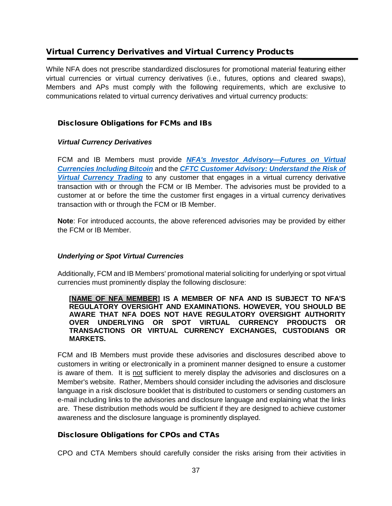# <span id="page-36-0"></span>Virtual Currency Derivatives and Virtual Currency Products

While NFA does not prescribe standardized disclosures for promotional material featuring either virtual currencies or virtual currency derivatives (i.e., futures, options and cleared swaps), Members and APs must comply with the following requirements, which are exclusive to communications related to virtual currency derivatives and virtual currency products:

# <span id="page-36-1"></span>Disclosure Obligations for FCMs and IBs

#### <span id="page-36-2"></span>*Virtual Currency Derivatives*

FCM and IB Members must provide *[NFA's Investor Advisory—Futures on Virtual](https://www.nfa.futures.org/investors/investor-advisory.html)  [Currencies Including Bitcoin](https://www.nfa.futures.org/investors/investor-advisory.html)* and the *[CFTC Customer Advisory: Understand the Risk of](https://www.cftc.gov/sites/default/files/idc/groups/public/@customerprotection/documents/file/customeradvisory_urvct121517.pdf)  [Virtual Currency Trading](https://www.cftc.gov/sites/default/files/idc/groups/public/@customerprotection/documents/file/customeradvisory_urvct121517.pdf)* to any customer that engages in a virtual currency derivative transaction with or through the FCM or IB Member. The advisories must be provided to a customer at or before the time the customer first engages in a virtual currency derivatives transaction with or through the FCM or IB Member.

**Note**: For introduced accounts, the above referenced advisories may be provided by either the FCM or IB Member.

#### <span id="page-36-3"></span>*Underlying or Spot Virtual Currencies*

Additionally, FCM and IB Members' promotional material soliciting for underlying or spot virtual currencies must prominently display the following disclosure:

**[NAME OF NFA MEMBER] IS A MEMBER OF NFA AND IS SUBJECT TO NFA'S REGULATORY OVERSIGHT AND EXAMINATIONS. HOWEVER, YOU SHOULD BE AWARE THAT NFA DOES NOT HAVE REGULATORY OVERSIGHT AUTHORITY OVER UNDERLYING OR SPOT VIRTUAL CURRENCY PRODUCTS OR TRANSACTIONS OR VIRTUAL CURRENCY EXCHANGES, CUSTODIANS OR MARKETS.**

FCM and IB Members must provide these advisories and disclosures described above to customers in writing or electronically in a prominent manner designed to ensure a customer is aware of them. It is not sufficient to merely display the advisories and disclosures on a Member's website. Rather, Members should consider including the advisories and disclosure language in a risk disclosure booklet that is distributed to customers or sending customers an e-mail including links to the advisories and disclosure language and explaining what the links are. These distribution methods would be sufficient if they are designed to achieve customer awareness and the disclosure language is prominently displayed.

## <span id="page-36-4"></span>Disclosure Obligations for CPOs and CTAs

CPO and CTA Members should carefully consider the risks arising from their activities in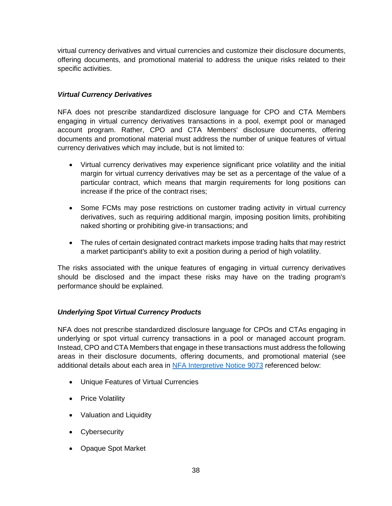virtual currency derivatives and virtual currencies and customize their disclosure documents, offering documents, and promotional material to address the unique risks related to their specific activities.

## <span id="page-37-0"></span>*Virtual Currency Derivatives*

NFA does not prescribe standardized disclosure language for CPO and CTA Members engaging in virtual currency derivatives transactions in a pool, exempt pool or managed account program. Rather, CPO and CTA Members' disclosure documents, offering documents and promotional material must address the number of unique features of virtual currency derivatives which may include, but is not limited to:

- Virtual currency derivatives may experience significant price volatility and the initial margin for virtual currency derivatives may be set as a percentage of the value of a particular contract, which means that margin requirements for long positions can increase if the price of the contract rises;
- Some FCMs may pose restrictions on customer trading activity in virtual currency derivatives, such as requiring additional margin, imposing position limits, prohibiting naked shorting or prohibiting give-in transactions; and
- The rules of certain designated contract markets impose trading halts that may restrict a market participant's ability to exit a position during a period of high volatility.

The risks associated with the unique features of engaging in virtual currency derivatives should be disclosed and the impact these risks may have on the trading program's performance should be explained.

# <span id="page-37-1"></span>*Underlying Spot Virtual Currency Products*

NFA does not prescribe standardized disclosure language for CPOs and CTAs engaging in underlying or spot virtual currency transactions in a pool or managed account program. Instead, CPO and CTA Members that engage in these transactions must address the following areas in their disclosure documents, offering documents, and promotional material (see additional details about each area in [NFA Interpretive Notice 9073](https://www.nfa.futures.org/rulebook/rules.aspx?Section=9&RuleID=9073) referenced below:

- Unique Features of Virtual Currencies
- Price Volatility
- Valuation and Liquidity
- Cybersecurity
- Opaque Spot Market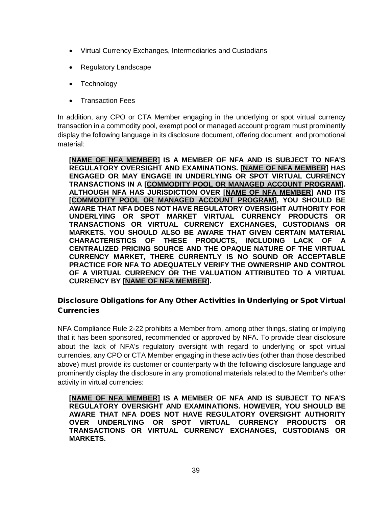- Virtual Currency Exchanges, Intermediaries and Custodians
- Regulatory Landscape
- Technology
- Transaction Fees

In addition, any CPO or CTA Member engaging in the underlying or spot virtual currency transaction in a commodity pool, exempt pool or managed account program must prominently display the following language in its disclosure document, offering document, and promotional material:

**[NAME OF NFA MEMBER] IS A MEMBER OF NFA AND IS SUBJECT TO NFA'S REGULATORY OVERSIGHT AND EXAMINATIONS. [NAME OF NFA MEMBER] HAS ENGAGED OR MAY ENGAGE IN UNDERLYING OR SPOT VIRTUAL CURRENCY TRANSACTIONS IN A [COMMODITY POOL OR MANAGED ACCOUNT PROGRAM]. ALTHOUGH NFA HAS JURISDICTION OVER [NAME OF NFA MEMBER] AND ITS [COMMODITY POOL OR MANAGED ACCOUNT PROGRAM], YOU SHOULD BE AWARE THAT NFA DOES NOT HAVE REGULATORY OVERSIGHT AUTHORITY FOR UNDERLYING OR SPOT MARKET VIRTUAL CURRENCY PRODUCTS OR TRANSACTIONS OR VIRTUAL CURRENCY EXCHANGES, CUSTODIANS OR MARKETS. YOU SHOULD ALSO BE AWARE THAT GIVEN CERTAIN MATERIAL CHARACTERISTICS OF THESE PRODUCTS, INCLUDING LACK OF A CENTRALIZED PRICING SOURCE AND THE OPAQUE NATURE OF THE VIRTUAL CURRENCY MARKET, THERE CURRENTLY IS NO SOUND OR ACCEPTABLE PRACTICE FOR NFA TO ADEQUATELY VERIFY THE OWNERSHIP AND CONTROL OF A VIRTUAL CURRENCY OR THE VALUATION ATTRIBUTED TO A VIRTUAL CURRENCY BY [NAME OF NFA MEMBER].**

# <span id="page-38-0"></span>Disclosure Obligations for Any Other Activities in Underlying or Spot Virtual **Currencies**

NFA Compliance Rule 2-22 prohibits a Member from, among other things, stating or implying that it has been sponsored, recommended or approved by NFA. To provide clear disclosure about the lack of NFA's regulatory oversight with regard to underlying or spot virtual currencies, any CPO or CTA Member engaging in these activities (other than those described above) must provide its customer or counterparty with the following disclosure language and prominently display the disclosure in any promotional materials related to the Member's other activity in virtual currencies:

**[NAME OF NFA MEMBER] IS A MEMBER OF NFA AND IS SUBJECT TO NFA'S REGULATORY OVERSIGHT AND EXAMINATIONS. HOWEVER, YOU SHOULD BE AWARE THAT NFA DOES NOT HAVE REGULATORY OVERSIGHT AUTHORITY OVER UNDERLYING OR SPOT VIRTUAL CURRENCY PRODUCTS OR TRANSACTIONS OR VIRTUAL CURRENCY EXCHANGES, CUSTODIANS OR MARKETS.**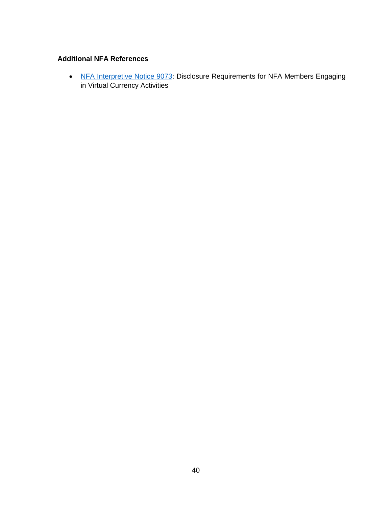## **Additional NFA References**

• [NFA Interpretive Notice 9073:](https://www.nfa.futures.org/rulebook/rules.aspx?Section=9&RuleID=9073) Disclosure Requirements for NFA Members Engaging in Virtual Currency Activities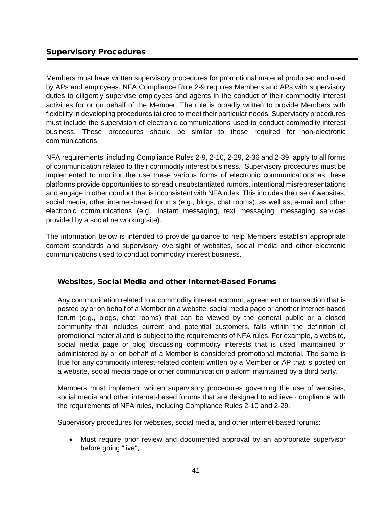# <span id="page-40-0"></span>Supervisory Procedures

Members must have written supervisory procedures for promotional material produced and used by APs and employees. NFA Compliance Rule 2-9 requires Members and APs with supervisory duties to diligently supervise employees and agents in the conduct of their commodity interest activities for or on behalf of the Member. The rule is broadly written to provide Members with flexibility in developing procedures tailored to meet their particular needs. Supervisory procedures must include the supervision of electronic communications used to conduct commodity interest business. These procedures should be similar to those required for non-electronic communications.

NFA requirements, including Compliance Rules 2-9, 2-10, 2-29, 2-36 and 2-39, apply to all forms of communication related to their commodity interest business. Supervisory procedures must be implemented to monitor the use these various forms of electronic communications as these platforms provide opportunities to spread unsubstantiated rumors, intentional misrepresentations and engage in other conduct that is inconsistent with NFA rules. This includes the use of websites, social media, other internet-based forums (e.g., blogs, chat rooms), as well as, e-mail and other electronic communications (e.g., instant messaging, text messaging, messaging services provided by a social networking site).

The information below is intended to provide guidance to help Members establish appropriate content standards and supervisory oversight of websites, social media and other electronic communications used to conduct commodity interest business.

## <span id="page-40-1"></span>Websites, Social Media and other Internet-Based Forums

Any communication related to a commodity interest account, agreement or transaction that is posted by or on behalf of a Member on a website, social media page or another internet-based forum (e.g., blogs, chat rooms) that can be viewed by the general public or a closed community that includes current and potential customers, falls within the definition of promotional material and is subject to the requirements of NFA rules. For example, a website, social media page or blog discussing commodity interests that is used, maintained or administered by or on behalf of a Member is considered promotional material. The same is true for any commodity interest-related content written by a Member or AP that is posted on a website, social media page or other communication platform maintained by a third party.

Members must implement written supervisory procedures governing the use of websites, social media and other internet-based forums that are designed to achieve compliance with the requirements of NFA rules, including Compliance Rules 2-10 and 2-29.

Supervisory procedures for websites, social media, and other internet-based forums:

• Must require prior review and documented approval by an appropriate supervisor before going "live";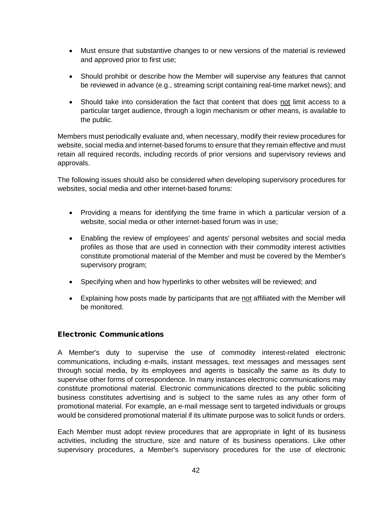- Must ensure that substantive changes to or new versions of the material is reviewed and approved prior to first use;
- Should prohibit or describe how the Member will supervise any features that cannot be reviewed in advance (e.g., streaming script containing real-time market news); and
- Should take into consideration the fact that content that does not limit access to a particular target audience, through a login mechanism or other means, is available to the public.

Members must periodically evaluate and, when necessary, modify their review procedures for website, social media and internet-based forums to ensure that they remain effective and must retain all required records, including records of prior versions and supervisory reviews and approvals.

The following issues should also be considered when developing supervisory procedures for websites, social media and other internet-based forums:

- Providing a means for identifying the time frame in which a particular version of a website, social media or other internet-based forum was in use;
- Enabling the review of employees' and agents' personal websites and social media profiles as those that are used in connection with their commodity interest activities constitute promotional material of the Member and must be covered by the Member's supervisory program;
- Specifying when and how hyperlinks to other websites will be reviewed; and
- Explaining how posts made by participants that are not affiliated with the Member will be monitored.

## <span id="page-41-0"></span>Electronic Communications

A Member's duty to supervise the use of commodity interest-related electronic communications, including e-mails, instant messages, text messages and messages sent through social media, by its employees and agents is basically the same as its duty to supervise other forms of correspondence. In many instances electronic communications may constitute promotional material. Electronic communications directed to the public soliciting business constitutes advertising and is subject to the same rules as any other form of promotional material. For example, an e-mail message sent to targeted individuals or groups would be considered promotional material if its ultimate purpose was to solicit funds or orders.

Each Member must adopt review procedures that are appropriate in light of its business activities, including the structure, size and nature of its business operations. Like other supervisory procedures, a Member's supervisory procedures for the use of electronic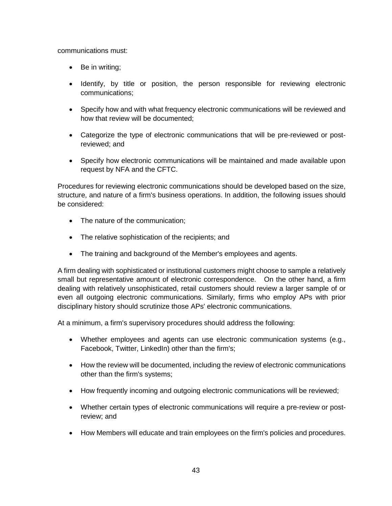communications must:

- Be in writing;
- Identify, by title or position, the person responsible for reviewing electronic communications;
- Specify how and with what frequency electronic communications will be reviewed and how that review will be documented;
- Categorize the type of electronic communications that will be pre-reviewed or postreviewed; and
- Specify how electronic communications will be maintained and made available upon request by NFA and the CFTC.

Procedures for reviewing electronic communications should be developed based on the size, structure, and nature of a firm's business operations. In addition, the following issues should be considered:

- The nature of the communication;
- The relative sophistication of the recipients; and
- The training and background of the Member's employees and agents.

A firm dealing with sophisticated or institutional customers might choose to sample a relatively small but representative amount of electronic correspondence. On the other hand, a firm dealing with relatively unsophisticated, retail customers should review a larger sample of or even all outgoing electronic communications. Similarly, firms who employ APs with prior disciplinary history should scrutinize those APs' electronic communications.

At a minimum, a firm's supervisory procedures should address the following:

- Whether employees and agents can use electronic communication systems (e.g., Facebook, Twitter, LinkedIn) other than the firm's;
- How the review will be documented, including the review of electronic communications other than the firm's systems;
- How frequently incoming and outgoing electronic communications will be reviewed;
- Whether certain types of electronic communications will require a pre-review or postreview; and
- How Members will educate and train employees on the firm's policies and procedures.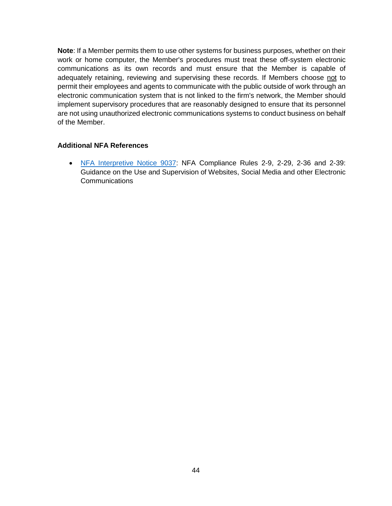**Note**: If a Member permits them to use other systems for business purposes, whether on their work or home computer, the Member's procedures must treat these off-system electronic communications as its own records and must ensure that the Member is capable of adequately retaining, reviewing and supervising these records. If Members choose not to permit their employees and agents to communicate with the public outside of work through an electronic communication system that is not linked to the firm's network, the Member should implement supervisory procedures that are reasonably designed to ensure that its personnel are not using unauthorized electronic communications systems to conduct business on behalf of the Member.

## **Additional NFA References**

• [NFA Interpretive Notice 9037:](https://www.nfa.futures.org/rulebook/rules.aspx?Section=9&RuleID=9037) NFA Compliance Rules 2-9, 2-29, 2-36 and 2-39: Guidance on the Use and Supervision of Websites, Social Media and other Electronic Communications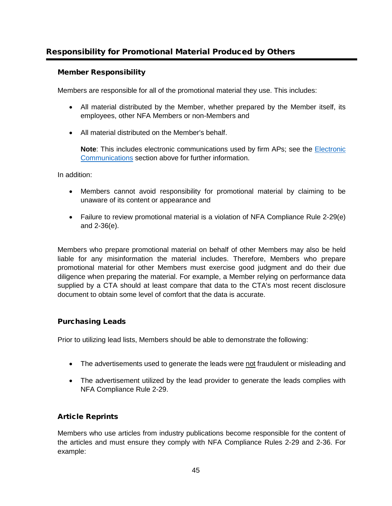# <span id="page-44-0"></span>Responsibility for Promotional Material Produced by Others

## <span id="page-44-1"></span>Member Responsibility

Members are responsible for all of the promotional material they use. This includes:

- All material distributed by the Member, whether prepared by the Member itself, its employees, other NFA Members or non-Members and
- All material distributed on the Member's behalf.

**Note**: This includes electronic communications used by firm APs; see the [Electronic](#page-41-0)  [Communications](#page-41-0) section above for further information.

In addition:

- Members cannot avoid responsibility for promotional material by claiming to be unaware of its content or appearance and
- Failure to review promotional material is a violation of NFA Compliance Rule 2-29(e) and 2-36(e).

Members who prepare promotional material on behalf of other Members may also be held liable for any misinformation the material includes. Therefore, Members who prepare promotional material for other Members must exercise good judgment and do their due diligence when preparing the material. For example, a Member relying on performance data supplied by a CTA should at least compare that data to the CTA's most recent disclosure document to obtain some level of comfort that the data is accurate.

# <span id="page-44-2"></span>Purchasing Leads

Prior to utilizing lead lists, Members should be able to demonstrate the following:

- The advertisements used to generate the leads were not fraudulent or misleading and
- The advertisement utilized by the lead provider to generate the leads complies with NFA Compliance Rule 2-29.

## <span id="page-44-3"></span>Article Reprints

Members who use articles from industry publications become responsible for the content of the articles and must ensure they comply with NFA Compliance Rules 2-29 and 2-36. For example: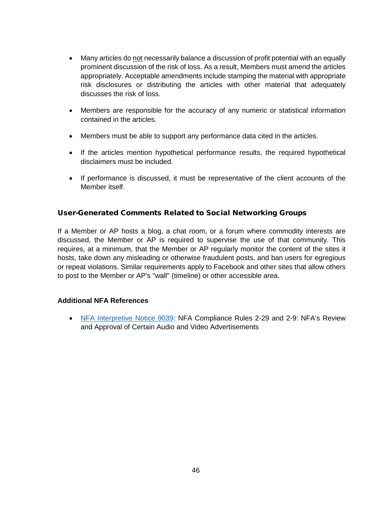- Many articles do not necessarily balance a discussion of profit potential with an equally prominent discussion of the risk of loss. As a result, Members must amend the articles appropriately. Acceptable amendments include stamping the material with appropriate risk disclosures or distributing the articles with other material that adequately discusses the risk of loss.
- Members are responsible for the accuracy of any numeric or statistical information contained in the articles.
- Members must be able to support any performance data cited in the articles.
- If the articles mention hypothetical performance results, the required hypothetical disclaimers must be included.
- If performance is discussed, it must be representative of the client accounts of the Member itself.

# <span id="page-45-0"></span>User-Generated Comments Related to Social Networking Groups

If a Member or AP hosts a blog, a chat room, or a forum where commodity interests are discussed, the Member or AP is required to supervise the use of that community. This requires, at a minimum, that the Member or AP regularly monitor the content of the sites it hosts, take down any misleading or otherwise fraudulent posts, and ban users for egregious or repeat violations. Similar requirements apply to Facebook and other sites that allow others to post to the Member or AP's "wall" (timeline) or other accessible area.

## **Additional NFA References**

• [NFA Interpretive Notice 9039:](https://www.nfa.futures.org/rulebook/rules.aspx?Section=9&RuleID=9039) NFA Compliance Rules 2-29 and 2-9: NFA's Review and Approval of Certain Audio and Video Advertisements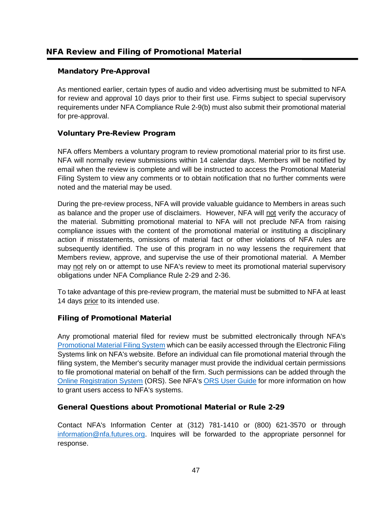# <span id="page-46-1"></span><span id="page-46-0"></span>Mandatory Pre-Approval

As mentioned earlier, certain types of audio and video advertising must be submitted to NFA for review and approval 10 days prior to their first use. Firms subject to special supervisory requirements under NFA Compliance Rule 2-9(b) must also submit their promotional material for pre-approval.

# <span id="page-46-2"></span>Voluntary Pre-Review Program

NFA offers Members a voluntary program to review promotional material prior to its first use. NFA will normally review submissions within 14 calendar days. Members will be notified by email when the review is complete and will be instructed to access the Promotional Material Filing System to view any comments or to obtain notification that no further comments were noted and the material may be used.

During the pre-review process, NFA will provide valuable guidance to Members in areas such as balance and the proper use of disclaimers. However, NFA will not verify the accuracy of the material. Submitting promotional material to NFA will not preclude NFA from raising compliance issues with the content of the promotional material or instituting a disciplinary action if misstatements, omissions of material fact or other violations of NFA rules are subsequently identified. The use of this program in no way lessens the requirement that Members review, approve, and supervise the use of their promotional material. A Member may not rely on or attempt to use NFA's review to meet its promotional material supervisory obligations under NFA Compliance Rule 2-29 and 2-36.

To take advantage of this pre-review program, the material must be submitted to NFA at least 14 days prior to its intended use.

# <span id="page-46-3"></span>Filing of Promotional Material

Any promotional material filed for review must be submitted electronically through NFA's [Promotional Material Filing System](https://www.nfa.futures.org/electronic-filing-systems/promotional-materials-filing-system.html) which can be easily accessed through the Electronic Filing Systems link on NFA's website. Before an individual can file promotional material through the filing system, the Member's security manager must provide the individual certain permissions to file promotional material on behalf of the firm. Such permissions can be added through the [Online Registration System](https://www.nfa.futures.org/ORS/) (ORS). See NFA's [ORS User Guide](https://www.nfa.futures.org/registration-membership/registration-resources/files/ORSUserGuideFirms.pdf) for more information on how to grant users access to NFA's systems.

# <span id="page-46-4"></span>General Questions about Promotional Material or Rule 2-29

Contact NFA's Information Center at (312) 781-1410 or (800) 621-3570 or through [information@nfa.futures.org.](mailto:information@nfa.futures.org) Inquires will be forwarded to the appropriate personnel for response.